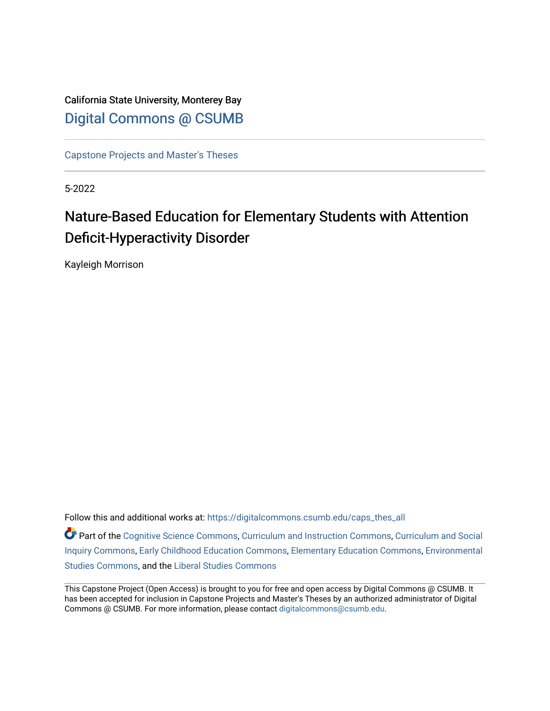California State University, Monterey Bay [Digital Commons @ CSUMB](https://digitalcommons.csumb.edu/)

[Capstone Projects and Master's Theses](https://digitalcommons.csumb.edu/caps_thes_all)

5-2022

# Nature-Based Education for Elementary Students with Attention Deficit-Hyperactivity Disorder

Kayleigh Morrison

Follow this and additional works at: [https://digitalcommons.csumb.edu/caps\\_thes\\_all](https://digitalcommons.csumb.edu/caps_thes_all?utm_source=digitalcommons.csumb.edu%2Fcaps_thes_all%2F1319&utm_medium=PDF&utm_campaign=PDFCoverPages)

Part of the [Cognitive Science Commons,](https://network.bepress.com/hgg/discipline/1437?utm_source=digitalcommons.csumb.edu%2Fcaps_thes_all%2F1319&utm_medium=PDF&utm_campaign=PDFCoverPages) [Curriculum and Instruction Commons,](https://network.bepress.com/hgg/discipline/786?utm_source=digitalcommons.csumb.edu%2Fcaps_thes_all%2F1319&utm_medium=PDF&utm_campaign=PDFCoverPages) [Curriculum and Social](https://network.bepress.com/hgg/discipline/1038?utm_source=digitalcommons.csumb.edu%2Fcaps_thes_all%2F1319&utm_medium=PDF&utm_campaign=PDFCoverPages)  [Inquiry Commons,](https://network.bepress.com/hgg/discipline/1038?utm_source=digitalcommons.csumb.edu%2Fcaps_thes_all%2F1319&utm_medium=PDF&utm_campaign=PDFCoverPages) [Early Childhood Education Commons,](https://network.bepress.com/hgg/discipline/1377?utm_source=digitalcommons.csumb.edu%2Fcaps_thes_all%2F1319&utm_medium=PDF&utm_campaign=PDFCoverPages) [Elementary Education Commons](https://network.bepress.com/hgg/discipline/1378?utm_source=digitalcommons.csumb.edu%2Fcaps_thes_all%2F1319&utm_medium=PDF&utm_campaign=PDFCoverPages), [Environmental](https://network.bepress.com/hgg/discipline/1333?utm_source=digitalcommons.csumb.edu%2Fcaps_thes_all%2F1319&utm_medium=PDF&utm_campaign=PDFCoverPages)  [Studies Commons,](https://network.bepress.com/hgg/discipline/1333?utm_source=digitalcommons.csumb.edu%2Fcaps_thes_all%2F1319&utm_medium=PDF&utm_campaign=PDFCoverPages) and the [Liberal Studies Commons](https://network.bepress.com/hgg/discipline/1042?utm_source=digitalcommons.csumb.edu%2Fcaps_thes_all%2F1319&utm_medium=PDF&utm_campaign=PDFCoverPages) 

This Capstone Project (Open Access) is brought to you for free and open access by Digital Commons @ CSUMB. It has been accepted for inclusion in Capstone Projects and Master's Theses by an authorized administrator of Digital Commons @ CSUMB. For more information, please contact [digitalcommons@csumb.edu](mailto:digitalcommons@csumb.edu).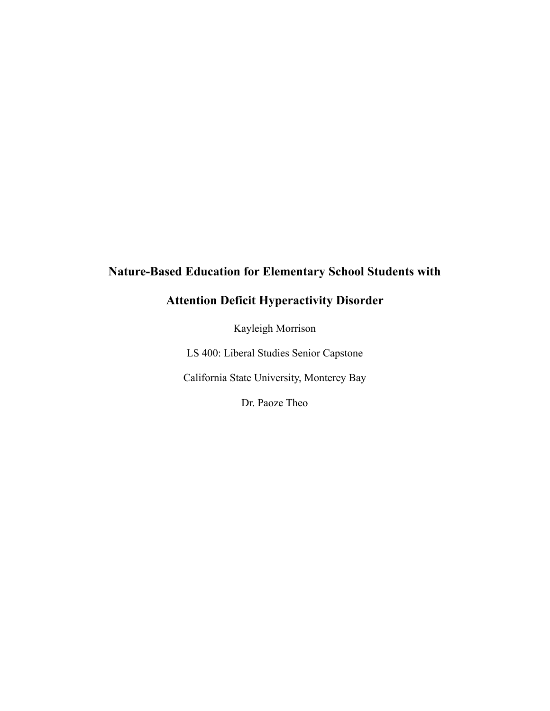# **Nature-Based Education for Elementary School Students with**

# **Attention Deficit Hyperactivity Disorder**

Kayleigh Morrison

LS 400: Liberal Studies Senior Capstone

California State University, Monterey Bay

Dr. Paoze Theo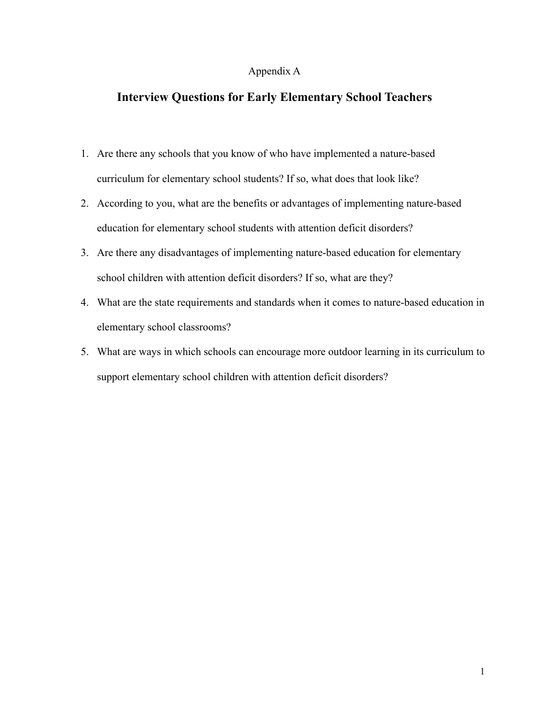## Appendix A

# **Interview Questions for Early Elementary School Teachers**

- 1. Are there any schools that you know of who have implemented a nature-based curriculum for elementary school students? If so, what does that look like?
- 2. According to you, what are the benefits or advantages of implementing nature-based education for elementary school students with attention deficit disorders?
- 3. Are there any disadvantages of implementing nature-based education for elementary school children with attention deficit disorders? If so, what are they?
- 4. What are the state requirements and standards when it comes to nature-based education in elementary school classrooms?
- 5. What are ways in which schools can encourage more outdoor learning in its curriculum to support elementary school children with attention deficit disorders?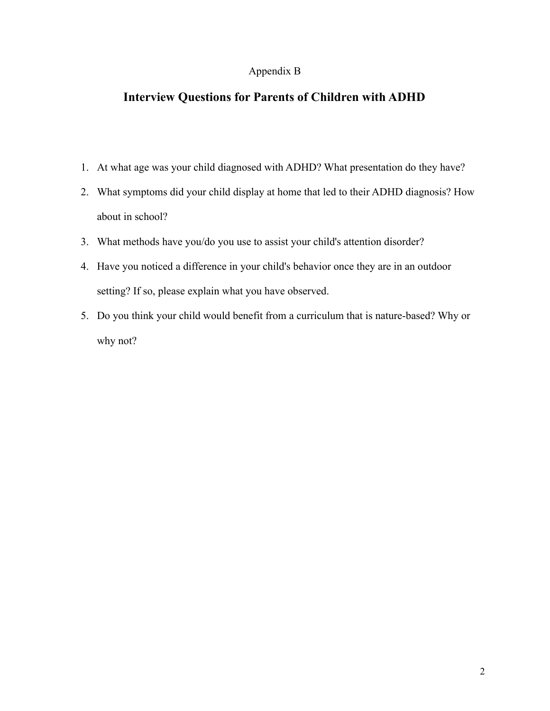# Appendix B

# **Interview Questions for Parents of Children with ADHD**

- 1. At what age was your child diagnosed with ADHD? What presentation do they have?
- 2. What symptoms did your child display at home that led to their ADHD diagnosis? How about in school?
- 3. What methods have you/do you use to assist your child's attention disorder?
- 4. Have you noticed a difference in your child's behavior once they are in an outdoor setting? If so, please explain what you have observed.
- 5. Do you think your child would benefit from a curriculum that is nature-based? Why or why not?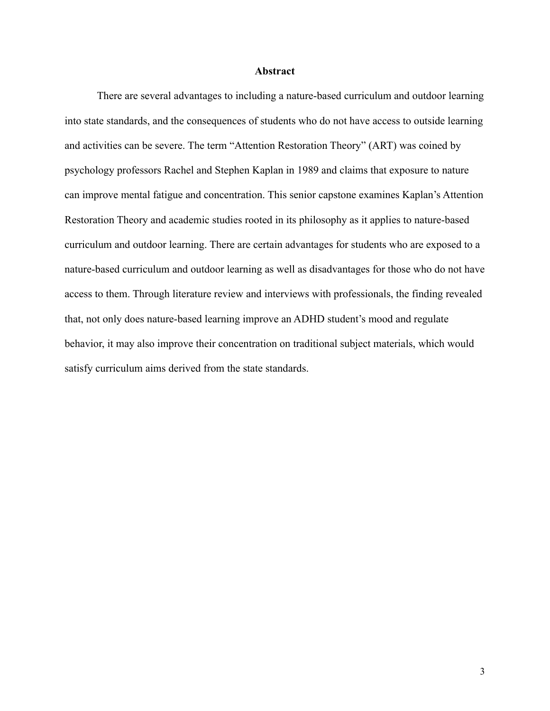#### **Abstract**

There are several advantages to including a nature-based curriculum and outdoor learning into state standards, and the consequences of students who do not have access to outside learning and activities can be severe. The term "Attention Restoration Theory" (ART) was coined by psychology professors Rachel and Stephen Kaplan in 1989 and claims that exposure to nature can improve mental fatigue and concentration. This senior capstone examines Kaplan's Attention Restoration Theory and academic studies rooted in its philosophy as it applies to nature-based curriculum and outdoor learning. There are certain advantages for students who are exposed to a nature-based curriculum and outdoor learning as well as disadvantages for those who do not have access to them. Through literature review and interviews with professionals, the finding revealed that, not only does nature-based learning improve an ADHD student's mood and regulate behavior, it may also improve their concentration on traditional subject materials, which would satisfy curriculum aims derived from the state standards.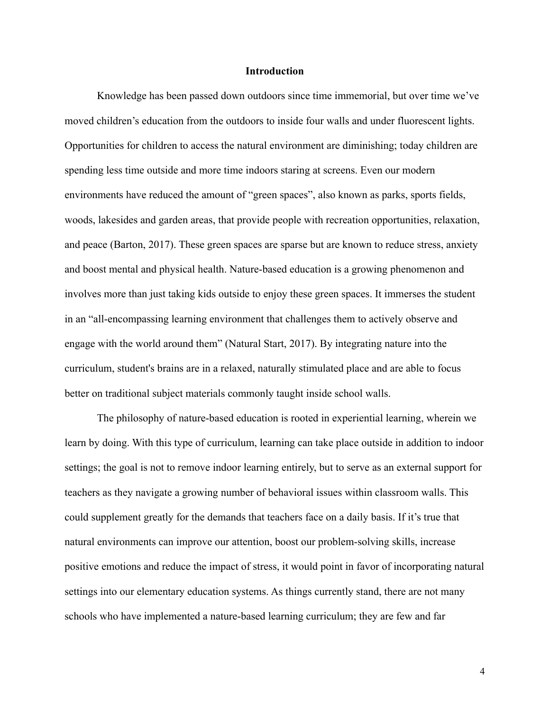#### **Introduction**

Knowledge has been passed down outdoors since time immemorial, but over time we've moved children's education from the outdoors to inside four walls and under fluorescent lights. Opportunities for children to access the natural environment are diminishing; today children are spending less time outside and more time indoors staring at screens. Even our modern environments have reduced the amount of "green spaces", also known as parks, sports fields, woods, lakesides and garden areas, that provide people with recreation opportunities, relaxation, and peace (Barton, 2017). These green spaces are sparse but are known to reduce stress, anxiety and boost mental and physical health. Nature-based education is a growing phenomenon and involves more than just taking kids outside to enjoy these green spaces. It immerses the student in an "all-encompassing learning environment that challenges them to actively observe and engage with the world around them" (Natural Start, 2017). By integrating nature into the curriculum, student's brains are in a relaxed, naturally stimulated place and are able to focus better on traditional subject materials commonly taught inside school walls.

The philosophy of nature-based education is rooted in experiential learning, wherein we learn by doing. With this type of curriculum, learning can take place outside in addition to indoor settings; the goal is not to remove indoor learning entirely, but to serve as an external support for teachers as they navigate a growing number of behavioral issues within classroom walls. This could supplement greatly for the demands that teachers face on a daily basis. If it's true that natural environments can improve our attention, boost our problem-solving skills, increase [positive emotions](https://positivepsychology.com/positive-emotions-list-examples-definition-psychology/) and reduce the impact of stress, it would point in favor of incorporating natural settings into our elementary education systems. As things currently stand, there are not many schools who have implemented a nature-based learning curriculum; they are few and far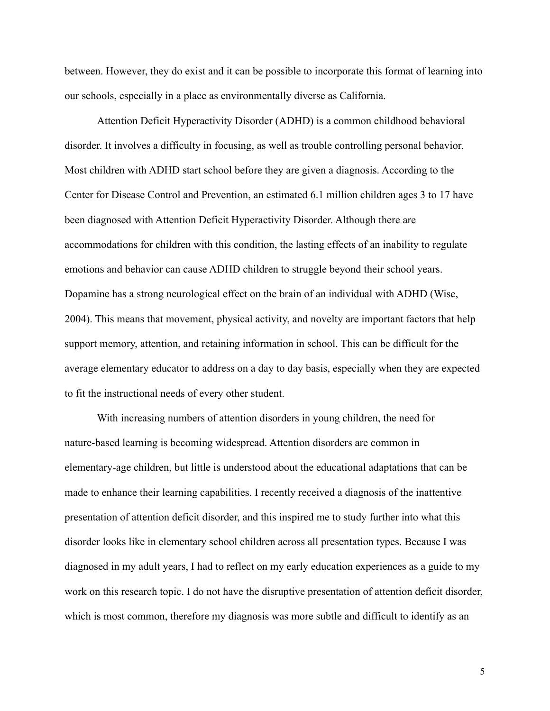between. However, they do exist and it can be possible to incorporate this format of learning into our schools, especially in a place as environmentally diverse as California.

Attention Deficit Hyperactivity Disorder (ADHD) is a common childhood behavioral disorder. It involves a difficulty in focusing, as well as trouble controlling personal behavior. Most children with ADHD start school before they are given a diagnosis. According to the Center for Disease Control and Prevention, an estimated 6.1 million children ages 3 to 17 have been diagnosed with Attention Deficit Hyperactivity Disorder. Although there are accommodations for children with this condition, the lasting effects of an inability to regulate emotions and behavior can cause ADHD children to struggle beyond their school years. Dopamine has a strong neurological effect on the brain of an individual with ADHD (Wise, 2004). This means that movement, physical activity, and novelty are important factors that help support memory, attention, and retaining information in school. This can be difficult for the average elementary educator to address on a day to day basis, especially when they are expected to fit the instructional needs of every other student.

With increasing numbers of attention disorders in young children, the need for nature-based learning is becoming widespread. Attention disorders are common in elementary-age children, but little is understood about the educational adaptations that can be made to enhance their learning capabilities. I recently received a diagnosis of the inattentive presentation of attention deficit disorder, and this inspired me to study further into what this disorder looks like in elementary school children across all presentation types. Because I was diagnosed in my adult years, I had to reflect on my early education experiences as a guide to my work on this research topic. I do not have the disruptive presentation of attention deficit disorder, which is most common, therefore my diagnosis was more subtle and difficult to identify as an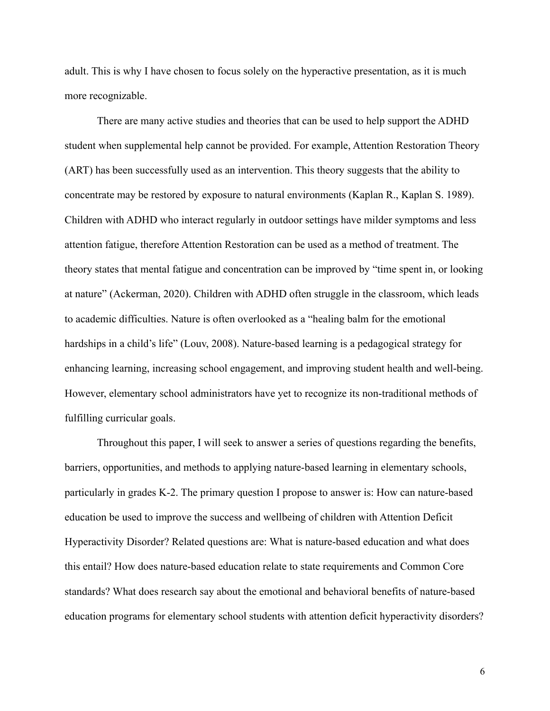adult. This is why I have chosen to focus solely on the hyperactive presentation, as it is much more recognizable.

There are many active studies and theories that can be used to help support the ADHD student when supplemental help cannot be provided. For example, Attention Restoration Theory (ART) has been successfully used as an intervention. This theory suggests that the ability to concentrate may be restored by exposure to natural environments (Kaplan R., Kaplan S. 1989). Children with ADHD who interact regularly in outdoor settings have milder symptoms and less attention fatigue, therefore Attention Restoration can be used as a method of treatment. The theory states that mental fatigue and concentration can be improved by "time spent in, or looking at nature" (Ackerman, 2020). Children with ADHD often struggle in the classroom, which leads to academic difficulties. Nature is often overlooked as a "healing balm for the emotional hardships in a child's life" (Louv, 2008). Nature-based learning is a pedagogical strategy for enhancing learning, increasing school engagement, and improving student health and well-being. However, elementary school administrators have yet to recognize its non-traditional methods of fulfilling curricular goals.

Throughout this paper, I will seek to answer a series of questions regarding the benefits, barriers, opportunities, and methods to applying nature-based learning in elementary schools, particularly in grades K-2. The primary question I propose to answer is: How can nature-based education be used to improve the success and wellbeing of children with Attention Deficit Hyperactivity Disorder? Related questions are: What is nature-based education and what does this entail? How does nature-based education relate to state requirements and Common Core standards? What does research say about the emotional and behavioral benefits of nature-based education programs for elementary school students with attention deficit hyperactivity disorders?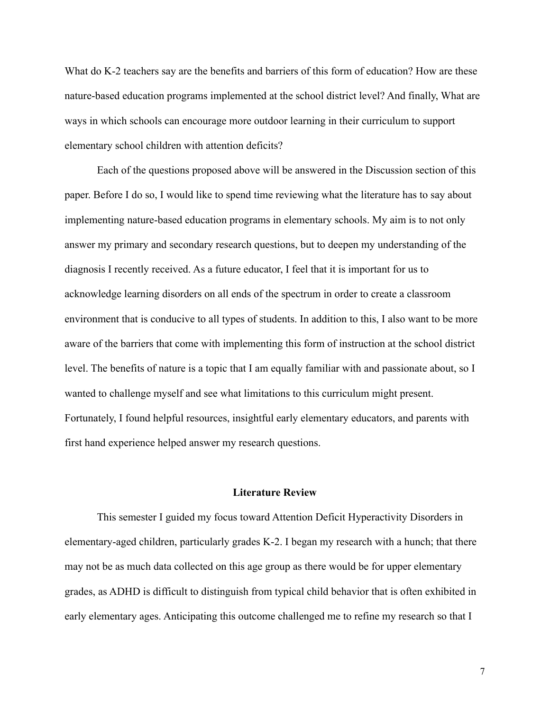What do K-2 teachers say are the benefits and barriers of this form of education? How are these nature-based education programs implemented at the school district level? And finally, What are ways in which schools can encourage more outdoor learning in their curriculum to support elementary school children with attention deficits?

Each of the questions proposed above will be answered in the Discussion section of this paper. Before I do so, I would like to spend time reviewing what the literature has to say about implementing nature-based education programs in elementary schools. My aim is to not only answer my primary and secondary research questions, but to deepen my understanding of the diagnosis I recently received. As a future educator, I feel that it is important for us to acknowledge learning disorders on all ends of the spectrum in order to create a classroom environment that is conducive to all types of students. In addition to this, I also want to be more aware of the barriers that come with implementing this form of instruction at the school district level. The benefits of nature is a topic that I am equally familiar with and passionate about, so I wanted to challenge myself and see what limitations to this curriculum might present. Fortunately, I found helpful resources, insightful early elementary educators, and parents with first hand experience helped answer my research questions.

## **Literature Review**

This semester I guided my focus toward Attention Deficit Hyperactivity Disorders in elementary-aged children, particularly grades K-2. I began my research with a hunch; that there may not be as much data collected on this age group as there would be for upper elementary grades, as ADHD is difficult to distinguish from typical child behavior that is often exhibited in early elementary ages. Anticipating this outcome challenged me to refine my research so that I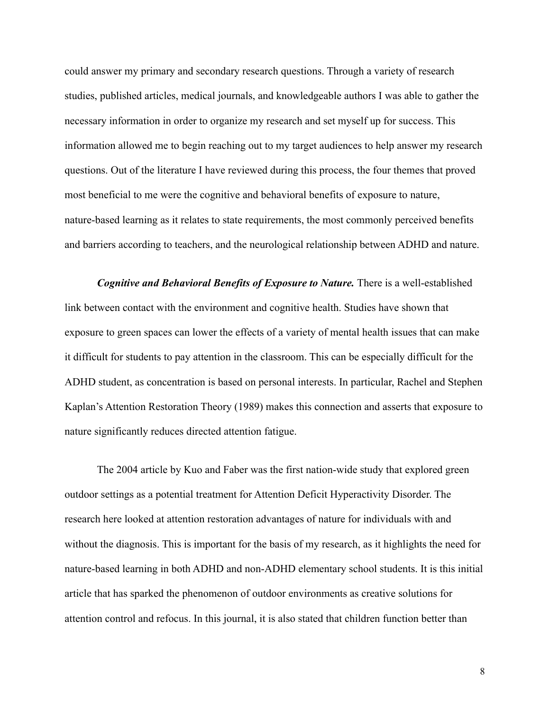could answer my primary and secondary research questions. Through a variety of research studies, published articles, medical journals, and knowledgeable authors I was able to gather the necessary information in order to organize my research and set myself up for success. This information allowed me to begin reaching out to my target audiences to help answer my research questions. Out of the literature I have reviewed during this process, the four themes that proved most beneficial to me were the cognitive and behavioral benefits of exposure to nature, nature-based learning as it relates to state requirements, the most commonly perceived benefits and barriers according to teachers, and the neurological relationship between ADHD and nature.

*Cognitive and Behavioral Benefits of Exposure to Nature.* There is a well-established link between contact with the environment and cognitive health. Studies have shown that exposure to green spaces can lower the effects of a variety of mental health issues that can make it difficult for students to pay attention in the classroom. This can be especially difficult for the ADHD student, as concentration is based on personal interests. In particular, Rachel and Stephen Kaplan's Attention Restoration Theory (1989) makes this connection and asserts that exposure to nature significantly reduces directed attention fatigue.

The 2004 article by Kuo and Faber was the first nation-wide study that explored green outdoor settings as a potential treatment for Attention Deficit Hyperactivity Disorder. The research here looked at attention restoration advantages of nature for individuals with and without the diagnosis. This is important for the basis of my research, as it highlights the need for nature-based learning in both ADHD and non-ADHD elementary school students. It is this initial article that has sparked the phenomenon of outdoor environments as creative solutions for attention control and refocus. In this journal, it is also stated that children function better than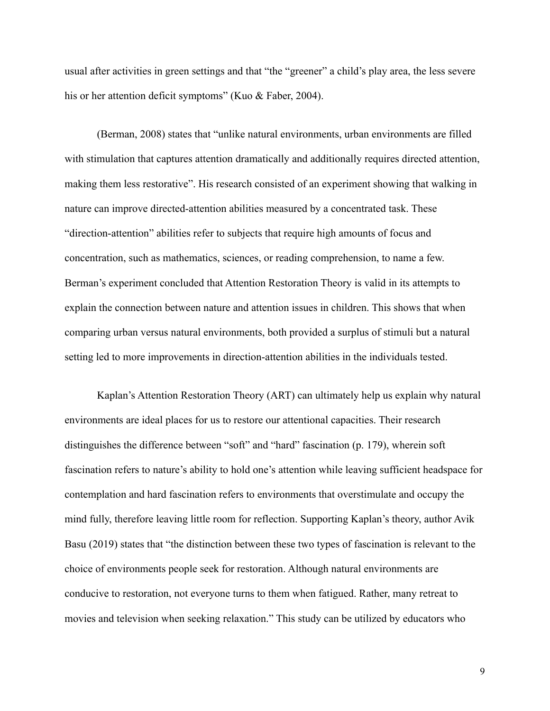usual after activities in green settings and that "the "greener" a child's play area, the less severe his or her attention deficit symptoms" (Kuo & Faber, 2004).

(Berman, 2008) states that "unlike natural environments, urban environments are filled with stimulation that captures attention dramatically and additionally requires directed attention, making them less restorative". His research consisted of an experiment showing that walking in nature can improve directed-attention abilities measured by a concentrated task. These "direction-attention" abilities refer to subjects that require high amounts of focus and concentration, such as mathematics, sciences, or reading comprehension, to name a few. Berman's experiment concluded that Attention Restoration Theory is valid in its attempts to explain the connection between nature and attention issues in children. This shows that when comparing urban versus natural environments, both provided a surplus of stimuli but a natural setting led to more improvements in direction-attention abilities in the individuals tested.

Kaplan's Attention Restoration Theory (ART) can ultimately help us explain why natural environments are ideal places for us to restore our attentional capacities. Their research distinguishes the difference between "soft" and "hard" fascination (p. 179), wherein soft fascination refers to nature's ability to hold one's attention while leaving sufficient headspace for contemplation and hard fascination refers to environments that overstimulate and occupy the mind fully, therefore leaving little room for reflection. Supporting Kaplan's theory, author Avik Basu (2019) states that "the distinction between these two types of fascination is relevant to the choice of environments people seek for restoration. Although natural environments are conducive to restoration, not everyone turns to them when fatigued. Rather, many retreat to movies and television when seeking relaxation." This study can be utilized by educators who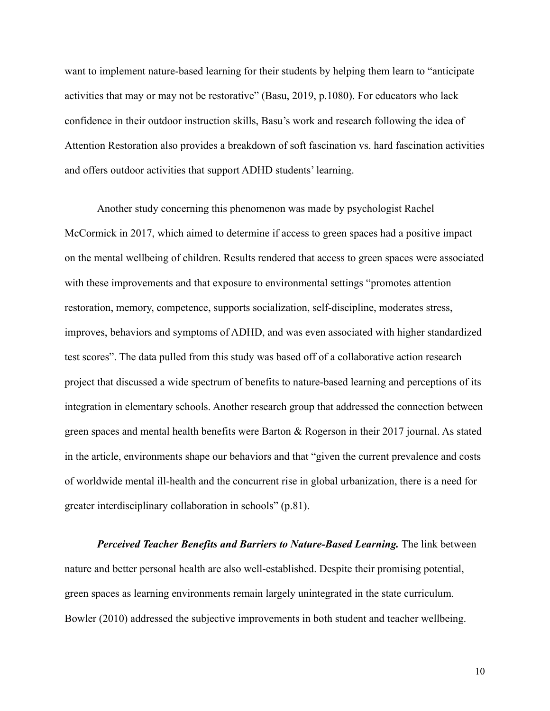want to implement nature-based learning for their students by helping them learn to "anticipate activities that may or may not be restorative" (Basu, 2019, p.1080). For educators who lack confidence in their outdoor instruction skills, Basu's work and research following the idea of Attention Restoration also provides a breakdown of soft fascination vs. hard fascination activities and offers outdoor activities that support ADHD students' learning.

Another study concerning this phenomenon was made by psychologist Rachel McCormick in 2017, which aimed to determine if access to green spaces had a positive impact on the mental wellbeing of children. Results rendered that access to green spaces were associated with these improvements and that exposure to environmental settings "promotes attention restoration, memory, competence, supports socialization, self-discipline, moderates stress, improves, behaviors and symptoms of ADHD, and was even associated with higher standardized test scores". The data pulled from this study was based off of a collaborative action research project that discussed a wide spectrum of benefits to nature-based learning and perceptions of its integration in elementary schools. Another research group that addressed the connection between green spaces and mental health benefits were Barton & Rogerson in their 2017 journal. As stated in the article, environments shape our behaviors and that "given the current prevalence and costs of worldwide mental ill-health and the concurrent rise in global urbanization, there is a need for greater interdisciplinary collaboration in schools" (p.81).

*Perceived Teacher Benefits and Barriers to Nature-Based Learning.* The link between nature and better personal health are also well-established. Despite their promising potential, green spaces as learning environments remain largely unintegrated in the state curriculum. Bowler (2010) addressed the subjective improvements in both student and teacher wellbeing.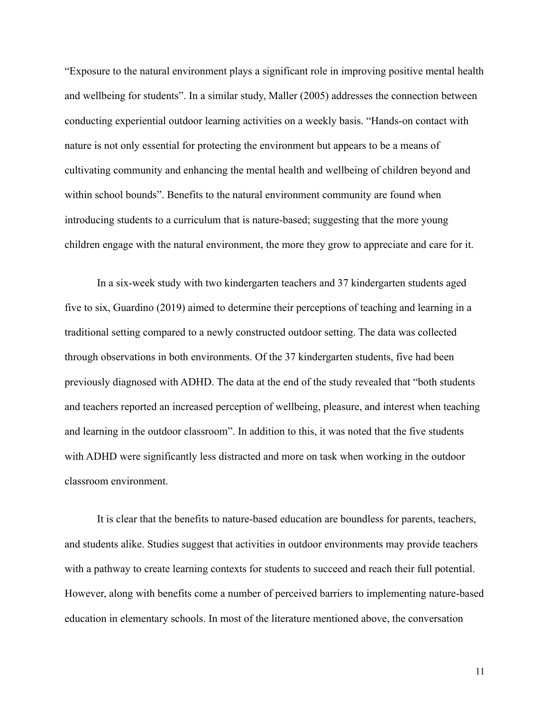"Exposure to the natural environment plays a significant role in improving positive mental health and wellbeing for students". In a similar study, Maller (2005) addresses the connection between conducting experiential outdoor learning activities on a weekly basis. "Hands-on contact with nature is not only essential for protecting the environment but appears to be a means of cultivating community and enhancing the mental health and wellbeing of children beyond and within school bounds". Benefits to the natural environment community are found when introducing students to a curriculum that is nature-based; suggesting that the more young children engage with the natural environment, the more they grow to appreciate and care for it.

In a six-week study with two kindergarten teachers and 37 kindergarten students aged five to six, Guardino (2019) aimed to determine their perceptions of teaching and learning in a traditional setting compared to a newly constructed outdoor setting. The data was collected through observations in both environments. Of the 37 kindergarten students, five had been previously diagnosed with ADHD. The data at the end of the study revealed that "both students and teachers reported an increased perception of wellbeing, pleasure, and interest when teaching and learning in the outdoor classroom". In addition to this, it was noted that the five students with ADHD were significantly less distracted and more on task when working in the outdoor classroom environment.

It is clear that the benefits to nature-based education are boundless for parents, teachers, and students alike. Studies suggest that activities in outdoor environments may provide teachers with a pathway to create learning contexts for students to succeed and reach their full potential. However, along with benefits come a number of perceived barriers to implementing nature-based education in elementary schools. In most of the literature mentioned above, the conversation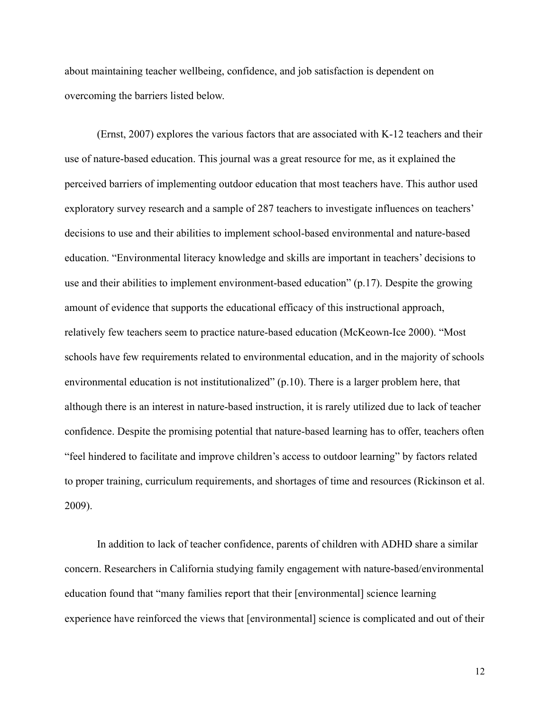about maintaining teacher wellbeing, confidence, and job satisfaction is dependent on overcoming the barriers listed below.

(Ernst, 2007) explores the various factors that are associated with K-12 teachers and their use of nature-based education. This journal was a great resource for me, as it explained the perceived barriers of implementing outdoor education that most teachers have. This author used exploratory survey research and a sample of 287 teachers to investigate influences on teachers' decisions to use and their abilities to implement school-based environmental and nature-based education. "Environmental literacy knowledge and skills are important in teachers' decisions to use and their abilities to implement environment-based education" (p.17). Despite the growing amount of evidence that supports the educational efficacy of this instructional approach, relatively few teachers seem to practice nature-based education (McKeown-Ice 2000). "Most schools have few requirements related to environmental education, and in the majority of schools environmental education is not institutionalized" (p.10). There is a larger problem here, that although there is an interest in nature-based instruction, it is rarely utilized due to lack of teacher confidence. Despite the promising potential that nature-based learning has to offer, teachers often "feel hindered to facilitate and improve children's access to outdoor learning" by factors related to proper training, curriculum requirements, and shortages of time and resources (Rickinson et al. 2009).

In addition to lack of teacher confidence, parents of children with ADHD share a similar concern. Researchers in California studying family engagement with nature-based/environmental education found that "many families report that their [environmental] science learning experience have reinforced the views that [environmental] science is complicated and out of their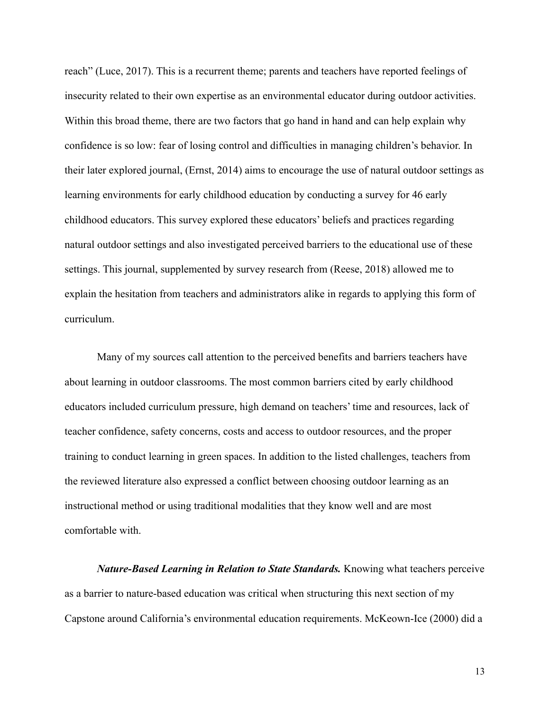reach" (Luce, 2017). This is a recurrent theme; parents and teachers have reported feelings of insecurity related to their own expertise as an environmental educator during outdoor activities. Within this broad theme, there are two factors that go hand in hand and can help explain why confidence is so low: fear of losing control and difficulties in managing children's behavior. In their later explored journal, (Ernst, 2014) aims to encourage the use of natural outdoor settings as learning environments for early childhood education by conducting a survey for 46 early childhood educators. This survey explored these educators' beliefs and practices regarding natural outdoor settings and also investigated perceived barriers to the educational use of these settings. This journal, supplemented by survey research from (Reese, 2018) allowed me to explain the hesitation from teachers and administrators alike in regards to applying this form of curriculum.

Many of my sources call attention to the perceived benefits and barriers teachers have about learning in outdoor classrooms. The most common barriers cited by early childhood educators included curriculum pressure, high demand on teachers' time and resources, lack of teacher confidence, safety concerns, costs and access to outdoor resources, and the proper training to conduct learning in green spaces. In addition to the listed challenges, teachers from the reviewed literature also expressed a conflict between choosing outdoor learning as an instructional method or using traditional modalities that they know well and are most comfortable with.

*Nature-Based Learning in Relation to State Standards.* Knowing what teachers perceive as a barrier to nature-based education was critical when structuring this next section of my Capstone around California's environmental education requirements. McKeown-Ice (2000) did a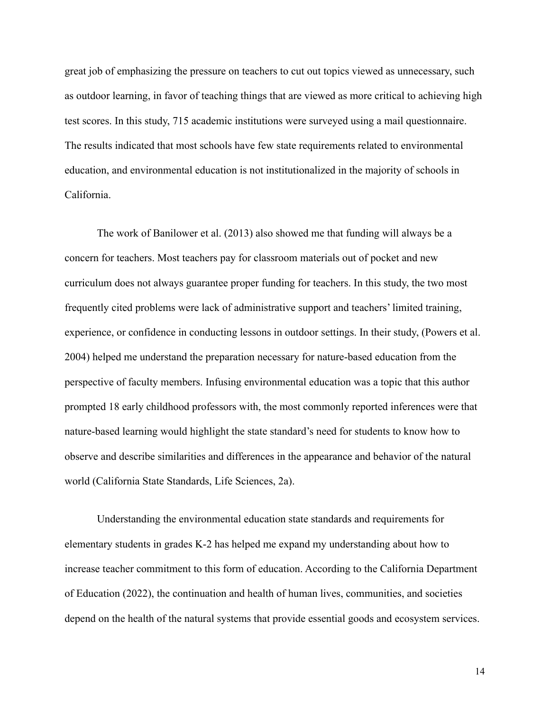great job of emphasizing the pressure on teachers to cut out topics viewed as unnecessary, such as outdoor learning, in favor of teaching things that are viewed as more critical to achieving high test scores. In this study, 715 academic institutions were surveyed using a mail questionnaire. The results indicated that most schools have few state requirements related to environmental education, and environmental education is not institutionalized in the majority of schools in California.

The work of Banilower et al. (2013) also showed me that funding will always be a concern for teachers. Most teachers pay for classroom materials out of pocket and new curriculum does not always guarantee proper funding for teachers. In this study, the two most frequently cited problems were lack of administrative support and teachers' limited training, experience, or confidence in conducting lessons in outdoor settings. In their study, (Powers et al. 2004) helped me understand the preparation necessary for nature-based education from the perspective of faculty members. Infusing environmental education was a topic that this author prompted 18 early childhood professors with, the most commonly reported inferences were that nature-based learning would highlight the state standard's need for students to know how to observe and describe similarities and differences in the appearance and behavior of the natural world (California State Standards, Life Sciences, 2a).

Understanding the environmental education state standards and requirements for elementary students in grades K-2 has helped me expand my understanding about how to increase teacher commitment to this form of education. According to the California Department of Education (2022), the continuation and health of human lives, communities, and societies depend on the health of the natural systems that provide essential goods and ecosystem services.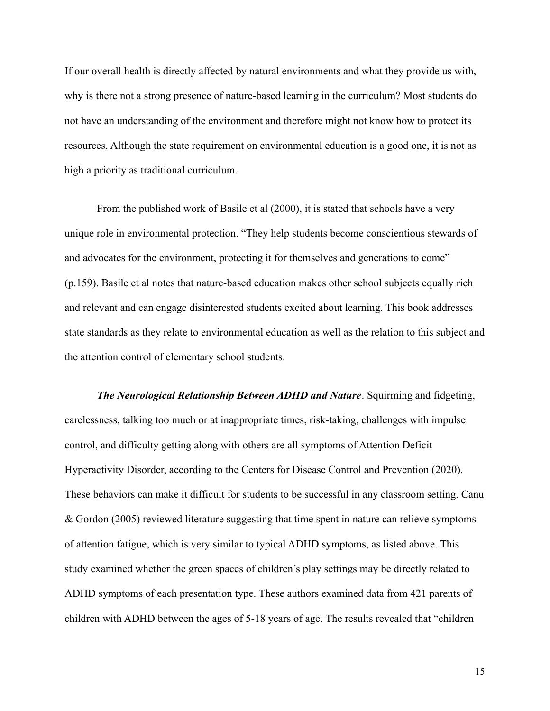If our overall health is directly affected by natural environments and what they provide us with, why is there not a strong presence of nature-based learning in the curriculum? Most students do not have an understanding of the environment and therefore might not know how to protect its resources. Although the state requirement on environmental education is a good one, it is not as high a priority as traditional curriculum.

From the published work of Basile et al (2000), it is stated that schools have a very unique role in environmental protection. "They help students become conscientious stewards of and advocates for the environment, protecting it for themselves and generations to come" (p.159). Basile et al notes that nature-based education makes other school subjects equally rich and relevant and can engage disinterested students excited about learning. This book addresses state standards as they relate to environmental education as well as the relation to this subject and the attention control of elementary school students.

*The Neurological Relationship Between ADHD and Nature*. Squirming and fidgeting, carelessness, talking too much or at inappropriate times, risk-taking, challenges with impulse control, and difficulty getting along with others are all symptoms of Attention Deficit Hyperactivity Disorder, according to the Centers for Disease Control and Prevention (2020). These behaviors can make it difficult for students to be successful in any classroom setting. Canu & Gordon (2005) reviewed literature suggesting that time spent in nature can relieve symptoms of attention fatigue, which is very similar to typical ADHD symptoms, as listed above. This study examined whether the green spaces of children's play settings may be directly related to ADHD symptoms of each presentation type. These authors examined data from 421 parents of children with ADHD between the ages of 5-18 years of age. The results revealed that "children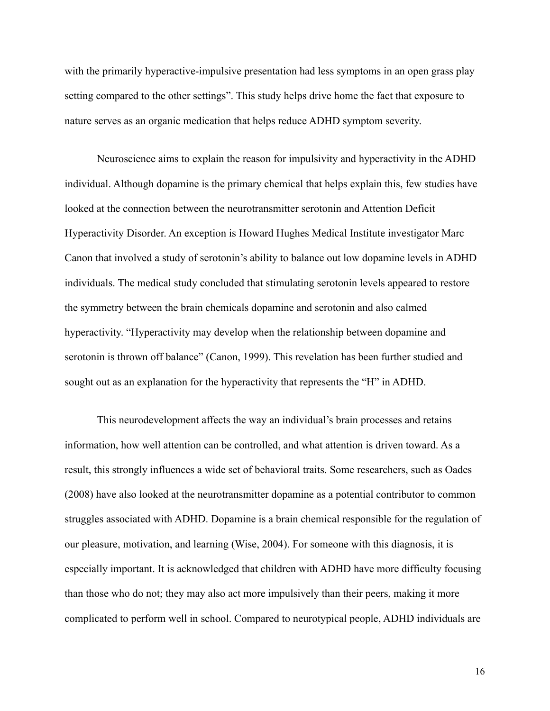with the primarily hyperactive-impulsive presentation had less symptoms in an open grass play setting compared to the other settings". This study helps drive home the fact that exposure to nature serves as an organic medication that helps reduce ADHD symptom severity.

Neuroscience aims to explain the reason for impulsivity and hyperactivity in the ADHD individual. Although dopamine is the primary chemical that helps explain this, few studies have looked at the connection between the neurotransmitter serotonin and Attention Deficit Hyperactivity Disorder. An exception is Howard Hughes Medical Institute investigator Marc Canon that involved a study of serotonin's ability to balance out low dopamine levels in ADHD individuals. The medical study concluded that stimulating serotonin levels appeared to restore the symmetry between the brain chemicals dopamine and serotonin and also calmed hyperactivity. "Hyperactivity may develop when the relationship between dopamine and serotonin is thrown off balance" (Canon, 1999). This revelation has been further studied and sought out as an explanation for the hyperactivity that represents the "H" in ADHD.

This neurodevelopment affects the way an individual's brain processes and retains information, how well attention can be controlled, and what attention is driven toward. As a result, this strongly influences a wide set of behavioral traits. Some researchers, such as Oades (2008) have also looked at the neurotransmitter dopamine as a potential contributor to common struggles associated with ADHD. Dopamine is a brain chemical responsible for the regulation of our pleasure, motivation, and learning (Wise, 2004). For someone with this diagnosis, it is especially important. It is acknowledged that children with ADHD have more difficulty focusing than those who do not; they may also act more impulsively than their peers, making it more complicated to perform well in school. Compared to neurotypical people, ADHD individuals are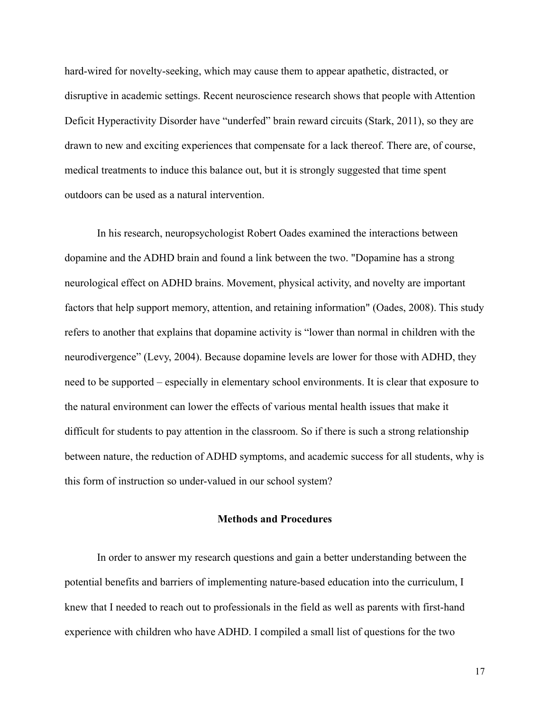hard-wired for novelty-seeking, which may cause them to appear apathetic, distracted, or disruptive in academic settings. Recent neuroscience research shows that people with Attention Deficit Hyperactivity Disorder have "underfed" brain reward circuits (Stark, 2011), so they are drawn to new and exciting experiences that compensate for a lack thereof. There are, of course, medical treatments to induce this balance out, but it is strongly suggested that time spent outdoors can be used as a natural intervention.

In his research, neuropsychologist Robert Oades examined the interactions between dopamine and the ADHD brain and found a link between the two. "Dopamine has a strong neurological effect on ADHD brains. Movement, physical activity, and novelty are important factors that help support memory, attention, and retaining information" (Oades, 2008). This study refers to another that explains that dopamine activity is "lower than normal in children with the neurodivergence" (Levy, 2004). Because dopamine levels are lower for those with ADHD, they need to be supported – especially in elementary school environments. It is clear that exposure to the natural environment can lower the effects of various mental health issues that make it difficult for students to pay attention in the classroom. So if there is such a strong relationship between nature, the reduction of ADHD symptoms, and academic success for all students, why is this form of instruction so under-valued in our school system?

# **Methods and Procedures**

In order to answer my research questions and gain a better understanding between the potential benefits and barriers of implementing nature-based education into the curriculum, I knew that I needed to reach out to professionals in the field as well as parents with first-hand experience with children who have ADHD. I compiled a small list of questions for the two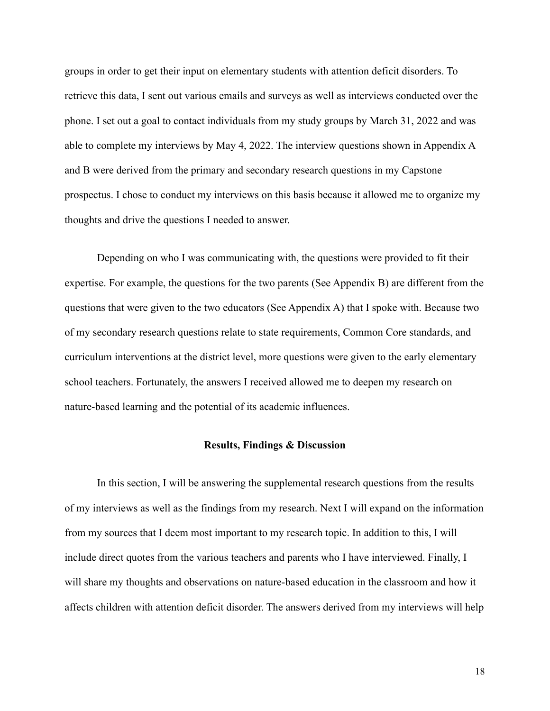groups in order to get their input on elementary students with attention deficit disorders. To retrieve this data, I sent out various emails and surveys as well as interviews conducted over the phone. I set out a goal to contact individuals from my study groups by March 31, 2022 and was able to complete my interviews by May 4, 2022. The interview questions shown in Appendix A and B were derived from the primary and secondary research questions in my Capstone prospectus. I chose to conduct my interviews on this basis because it allowed me to organize my thoughts and drive the questions I needed to answer.

Depending on who I was communicating with, the questions were provided to fit their expertise. For example, the questions for the two parents (See Appendix B) are different from the questions that were given to the two educators (See Appendix A) that I spoke with. Because two of my secondary research questions relate to state requirements, Common Core standards, and curriculum interventions at the district level, more questions were given to the early elementary school teachers. Fortunately, the answers I received allowed me to deepen my research on nature-based learning and the potential of its academic influences.

## **Results, Findings & Discussion**

In this section, I will be answering the supplemental research questions from the results of my interviews as well as the findings from my research. Next I will expand on the information from my sources that I deem most important to my research topic. In addition to this, I will include direct quotes from the various teachers and parents who I have interviewed. Finally, I will share my thoughts and observations on nature-based education in the classroom and how it affects children with attention deficit disorder. The answers derived from my interviews will help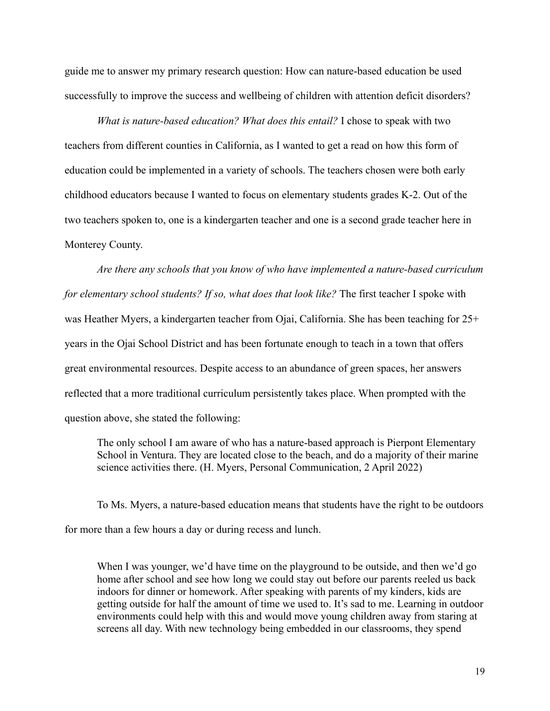guide me to answer my primary research question: How can nature-based education be used successfully to improve the success and wellbeing of children with attention deficit disorders?

*What is nature-based education? What does this entail?* I chose to speak with two teachers from different counties in California, as I wanted to get a read on how this form of education could be implemented in a variety of schools. The teachers chosen were both early childhood educators because I wanted to focus on elementary students grades K-2. Out of the two teachers spoken to, one is a kindergarten teacher and one is a second grade teacher here in Monterey County.

*Are there any schools that you know of who have implemented a nature-based curriculum for elementary school students? If so, what does that look like?* The first teacher I spoke with was Heather Myers, a kindergarten teacher from Ojai, California. She has been teaching for  $25+$ years in the Ojai School District and has been fortunate enough to teach in a town that offers great environmental resources. Despite access to an abundance of green spaces, her answers reflected that a more traditional curriculum persistently takes place. When prompted with the question above, she stated the following:

The only school I am aware of who has a nature-based approach is Pierpont Elementary School in Ventura. They are located close to the beach, and do a majority of their marine science activities there. (H. Myers, Personal Communication, 2 April 2022)

To Ms. Myers, a nature-based education means that students have the right to be outdoors for more than a few hours a day or during recess and lunch.

When I was younger, we'd have time on the playground to be outside, and then we'd go home after school and see how long we could stay out before our parents reeled us back indoors for dinner or homework. After speaking with parents of my kinders, kids are getting outside for half the amount of time we used to. It's sad to me. Learning in outdoor environments could help with this and would move young children away from staring at screens all day. With new technology being embedded in our classrooms, they spend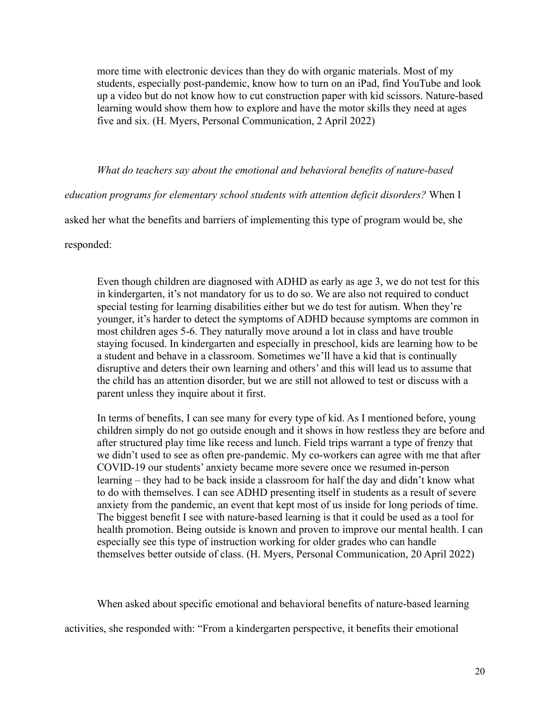more time with electronic devices than they do with organic materials. Most of my students, especially post-pandemic, know how to turn on an iPad, find YouTube and look up a video but do not know how to cut construction paper with kid scissors. Nature-based learning would show them how to explore and have the motor skills they need at ages five and six. (H. Myers, Personal Communication, 2 April 2022)

# *What do teachers say about the emotional and behavioral benefits of nature-based*

*education programs for elementary school students with attention deficit disorders?* When I

asked her what the benefits and barriers of implementing this type of program would be, she

responded:

Even though children are diagnosed with ADHD as early as age 3, we do not test for this in kindergarten, it's not mandatory for us to do so. We are also not required to conduct special testing for learning disabilities either but we do test for autism. When they're younger, it's harder to detect the symptoms of ADHD because symptoms are common in most children ages 5-6. They naturally move around a lot in class and have trouble staying focused. In kindergarten and especially in preschool, kids are learning how to be a student and behave in a classroom. Sometimes we'll have a kid that is continually disruptive and deters their own learning and others' and this will lead us to assume that the child has an attention disorder, but we are still not allowed to test or discuss with a parent unless they inquire about it first.

In terms of benefits, I can see many for every type of kid. As I mentioned before, young children simply do not go outside enough and it shows in how restless they are before and after structured play time like recess and lunch. Field trips warrant a type of frenzy that we didn't used to see as often pre-pandemic. My co-workers can agree with me that after COVID-19 our students' anxiety became more severe once we resumed in-person learning – they had to be back inside a classroom for half the day and didn't know what to do with themselves. I can see ADHD presenting itself in students as a result of severe anxiety from the pandemic, an event that kept most of us inside for long periods of time. The biggest benefit I see with nature-based learning is that it could be used as a tool for health promotion. Being outside is known and proven to improve our mental health. I can especially see this type of instruction working for older grades who can handle themselves better outside of class. (H. Myers, Personal Communication, 20 April 2022)

When asked about specific emotional and behavioral benefits of nature-based learning activities, she responded with: "From a kindergarten perspective, it benefits their emotional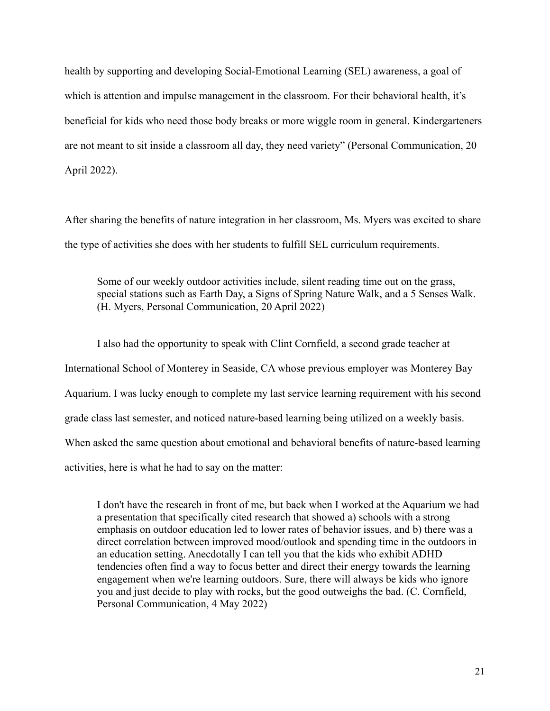health by supporting and developing Social-Emotional Learning (SEL) awareness, a goal of which is attention and impulse management in the classroom. For their behavioral health, it's beneficial for kids who need those body breaks or more wiggle room in general. Kindergarteners are not meant to sit inside a classroom all day, they need variety" (Personal Communication, 20 April 2022).

After sharing the benefits of nature integration in her classroom, Ms. Myers was excited to share the type of activities she does with her students to fulfill SEL curriculum requirements.

Some of our weekly outdoor activities include, silent reading time out on the grass, special stations such as Earth Day, a Signs of Spring Nature Walk, and a 5 Senses Walk. (H. Myers, Personal Communication, 20 April 2022)

I also had the opportunity to speak with Clint Cornfield, a second grade teacher at International School of Monterey in Seaside, CA whose previous employer was Monterey Bay Aquarium. I was lucky enough to complete my last service learning requirement with his second grade class last semester, and noticed nature-based learning being utilized on a weekly basis. When asked the same question about emotional and behavioral benefits of nature-based learning activities, here is what he had to say on the matter:

I don't have the research in front of me, but back when I worked at the Aquarium we had a presentation that specifically cited research that showed a) schools with a strong emphasis on outdoor education led to lower rates of behavior issues, and b) there was a direct correlation between improved mood/outlook and spending time in the outdoors in an education setting. Anecdotally I can tell you that the kids who exhibit ADHD tendencies often find a way to focus better and direct their energy towards the learning engagement when we're learning outdoors. Sure, there will always be kids who ignore you and just decide to play with rocks, but the good outweighs the bad. (C. Cornfield, Personal Communication, 4 May 2022)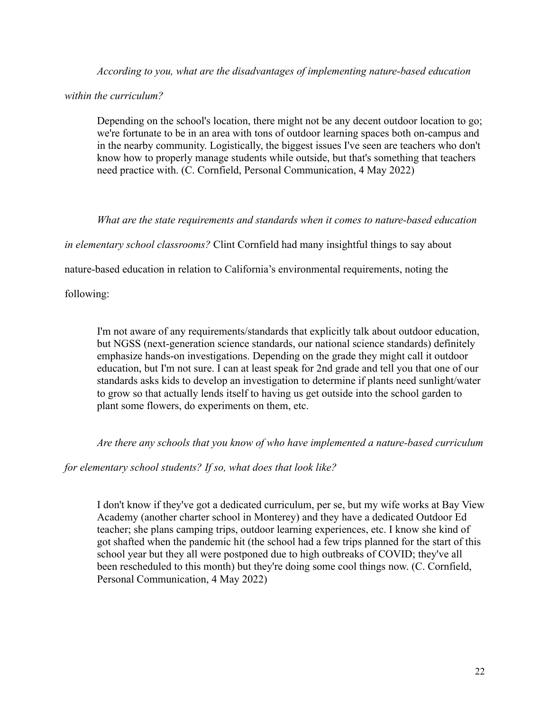*According to you, what are the disadvantages of implementing nature-based education*

*within the curriculum?*

Depending on the school's location, there might not be any decent outdoor location to go; we're fortunate to be in an area with tons of outdoor learning spaces both on-campus and in the nearby community. Logistically, the biggest issues I've seen are teachers who don't know how to properly manage students while outside, but that's something that teachers need practice with. (C. Cornfield, Personal Communication, 4 May 2022)

*What are the state requirements and standards when it comes to nature-based education*

*in elementary school classrooms?* Clint Cornfield had many insightful things to say about

nature-based education in relation to California's environmental requirements, noting the

following:

I'm not aware of any requirements/standards that explicitly talk about outdoor education, but NGSS (next-generation science standards, our national science standards) definitely emphasize hands-on investigations. Depending on the grade they might call it outdoor education, but I'm not sure. I can at least speak for 2nd grade and tell you that one of our standards asks kids to develop an investigation to determine if plants need sunlight/water to grow so that actually lends itself to having us get outside into the school garden to plant some flowers, do experiments on them, etc.

*Are there any schools that you know of who have implemented a nature-based curriculum*

*for elementary school students? If so, what does that look like?*

I don't know if they've got a dedicated curriculum, per se, but my wife works at Bay View Academy (another charter school in Monterey) and they have a dedicated Outdoor Ed teacher; she plans camping trips, outdoor learning experiences, etc. I know she kind of got shafted when the pandemic hit (the school had a few trips planned for the start of this school year but they all were postponed due to high outbreaks of COVID; they've all been rescheduled to this month) but they're doing some cool things now. (C. Cornfield, Personal Communication, 4 May 2022)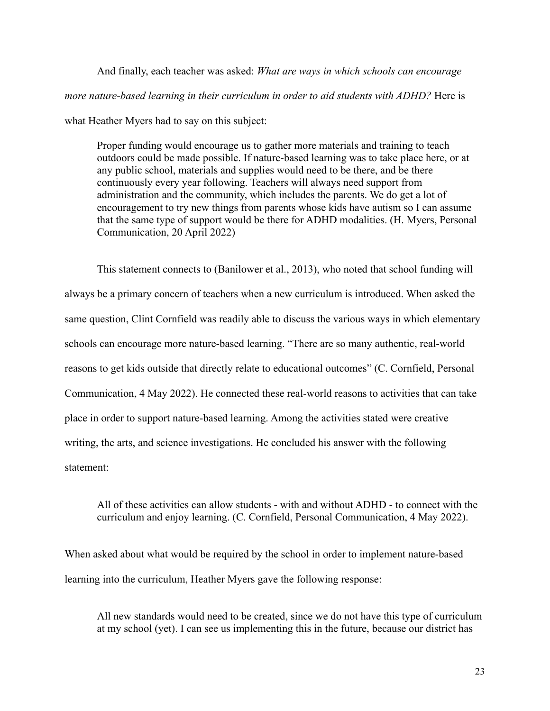And finally, each teacher was asked: *What are ways in which schools can encourage more nature-based learning in their curriculum in order to aid students with ADHD?* Here is what Heather Myers had to say on this subject:

Proper funding would encourage us to gather more materials and training to teach outdoors could be made possible. If nature-based learning was to take place here, or at any public school, materials and supplies would need to be there, and be there continuously every year following. Teachers will always need support from administration and the community, which includes the parents. We do get a lot of encouragement to try new things from parents whose kids have autism so I can assume that the same type of support would be there for ADHD modalities. (H. Myers, Personal Communication, 20 April 2022)

This statement connects to (Banilower et al., 2013), who noted that school funding will always be a primary concern of teachers when a new curriculum is introduced. When asked the same question, Clint Cornfield was readily able to discuss the various ways in which elementary schools can encourage more nature-based learning. "There are so many authentic, real-world reasons to get kids outside that directly relate to educational outcomes" (C. Cornfield, Personal Communication, 4 May 2022). He connected these real-world reasons to activities that can take place in order to support nature-based learning. Among the activities stated were creative writing, the arts, and science investigations. He concluded his answer with the following statement:

All of these activities can allow students - with and without ADHD - to connect with the curriculum and enjoy learning. (C. Cornfield, Personal Communication, 4 May 2022).

When asked about what would be required by the school in order to implement nature-based learning into the curriculum, Heather Myers gave the following response:

All new standards would need to be created, since we do not have this type of curriculum at my school (yet). I can see us implementing this in the future, because our district has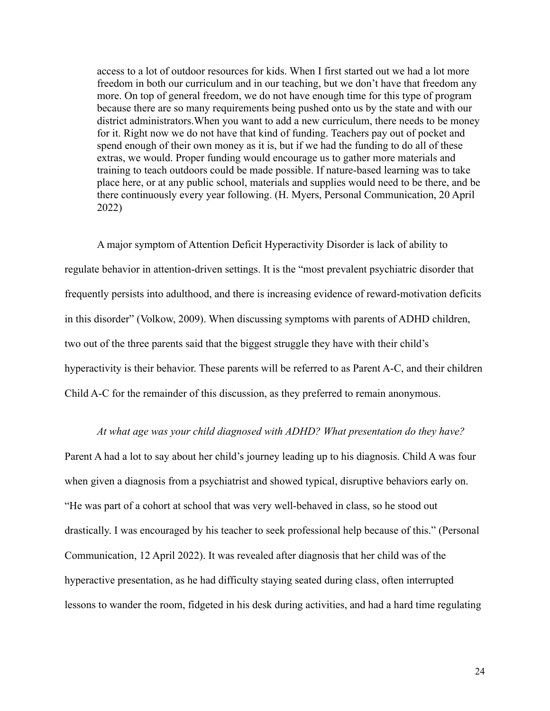access to a lot of outdoor resources for kids. When I first started out we had a lot more freedom in both our curriculum and in our teaching, but we don't have that freedom any more. On top of general freedom, we do not have enough time for this type of program because there are so many requirements being pushed onto us by the state and with our district administrators.When you want to add a new curriculum, there needs to be money for it. Right now we do not have that kind of funding. Teachers pay out of pocket and spend enough of their own money as it is, but if we had the funding to do all of these extras, we would. Proper funding would encourage us to gather more materials and training to teach outdoors could be made possible. If nature-based learning was to take place here, or at any public school, materials and supplies would need to be there, and be there continuously every year following. (H. Myers, Personal Communication, 20 April 2022)

A major symptom of Attention Deficit Hyperactivity Disorder is lack of ability to regulate behavior in attention-driven settings. It is the "most prevalent psychiatric disorder that frequently persists into adulthood, and there is increasing evidence of reward-motivation deficits in this disorder" (Volkow, 2009). When discussing symptoms with parents of ADHD children, two out of the three parents said that the biggest struggle they have with their child's hyperactivity is their behavior. These parents will be referred to as Parent A-C, and their children Child A-C for the remainder of this discussion, as they preferred to remain anonymous.

### *At what age was your child diagnosed with ADHD? What presentation do they have?*

Parent A had a lot to say about her child's journey leading up to his diagnosis. Child A was four when given a diagnosis from a psychiatrist and showed typical, disruptive behaviors early on. "He was part of a cohort at school that was very well-behaved in class, so he stood out drastically. I was encouraged by his teacher to seek professional help because of this." (Personal Communication, 12 April 2022). It was revealed after diagnosis that her child was of the hyperactive presentation, as he had difficulty staying seated during class, often interrupted lessons to wander the room, fidgeted in his desk during activities, and had a hard time regulating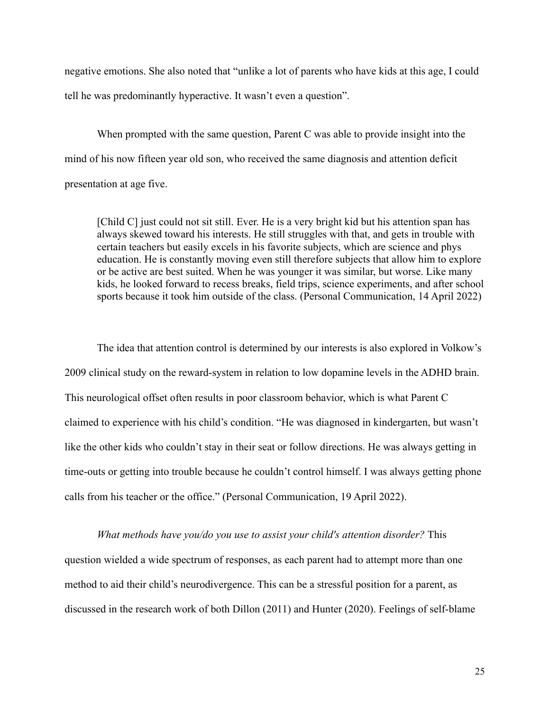negative emotions. She also noted that "unlike a lot of parents who have kids at this age, I could tell he was predominantly hyperactive. It wasn't even a question".

When prompted with the same question, Parent C was able to provide insight into the mind of his now fifteen year old son, who received the same diagnosis and attention deficit presentation at age five.

[Child C] just could not sit still. Ever. He is a very bright kid but his attention span has always skewed toward his interests. He still struggles with that, and gets in trouble with certain teachers but easily excels in his favorite subjects, which are science and phys education. He is constantly moving even still therefore subjects that allow him to explore or be active are best suited. When he was younger it was similar, but worse. Like many kids, he looked forward to recess breaks, field trips, science experiments, and after school sports because it took him outside of the class. (Personal Communication, 14 April 2022)

The idea that attention control is determined by our interests is also explored in Volkow's 2009 clinical study on the reward-system in relation to low dopamine levels in the ADHD brain. This neurological offset often results in poor classroom behavior, which is what Parent C claimed to experience with his child's condition. "He was diagnosed in kindergarten, but wasn't like the other kids who couldn't stay in their seat or follow directions. He was always getting in time-outs or getting into trouble because he couldn't control himself. I was always getting phone calls from his teacher or the office." (Personal Communication, 19 April 2022).

*What methods have you/do you use to assist your child's attention disorder?* This question wielded a wide spectrum of responses, as each parent had to attempt more than one method to aid their child's neurodivergence. This can be a stressful position for a parent, as discussed in the research work of both Dillon (2011) and Hunter (2020). Feelings of self-blame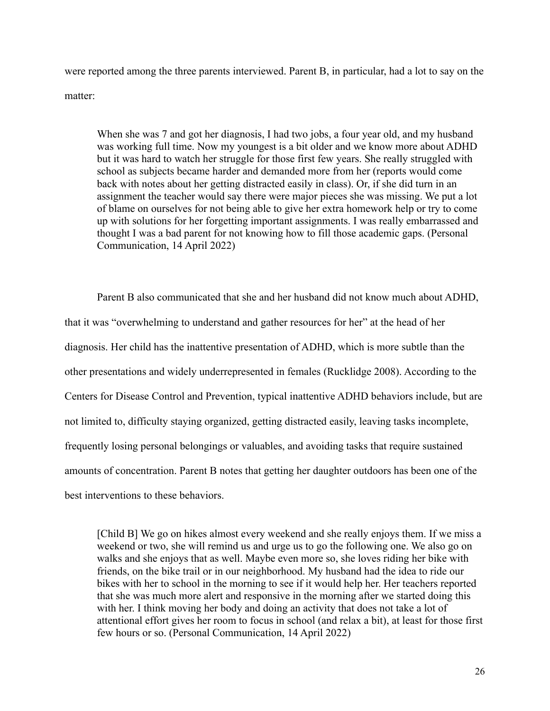were reported among the three parents interviewed. Parent B, in particular, had a lot to say on the matter:

When she was 7 and got her diagnosis, I had two jobs, a four year old, and my husband was working full time. Now my youngest is a bit older and we know more about ADHD but it was hard to watch her struggle for those first few years. She really struggled with school as subjects became harder and demanded more from her (reports would come back with notes about her getting distracted easily in class). Or, if she did turn in an assignment the teacher would say there were major pieces she was missing. We put a lot of blame on ourselves for not being able to give her extra homework help or try to come up with solutions for her forgetting important assignments. I was really embarrassed and thought I was a bad parent for not knowing how to fill those academic gaps. (Personal Communication, 14 April 2022)

Parent B also communicated that she and her husband did not know much about ADHD, that it was "overwhelming to understand and gather resources for her" at the head of her diagnosis. Her child has the inattentive presentation of ADHD, which is more subtle than the other presentations and widely underrepresented in females (Rucklidge 2008). According to the Centers for Disease Control and Prevention, typical inattentive ADHD behaviors include, but are not limited to, difficulty staying organized, getting distracted easily, leaving tasks incomplete, frequently losing personal belongings or valuables, and avoiding tasks that require sustained amounts of concentration. Parent B notes that getting her daughter outdoors has been one of the best interventions to these behaviors.

[Child B] We go on hikes almost every weekend and she really enjoys them. If we miss a weekend or two, she will remind us and urge us to go the following one. We also go on walks and she enjoys that as well. Maybe even more so, she loves riding her bike with friends, on the bike trail or in our neighborhood. My husband had the idea to ride our bikes with her to school in the morning to see if it would help her. Her teachers reported that she was much more alert and responsive in the morning after we started doing this with her. I think moving her body and doing an activity that does not take a lot of attentional effort gives her room to focus in school (and relax a bit), at least for those first few hours or so. (Personal Communication, 14 April 2022)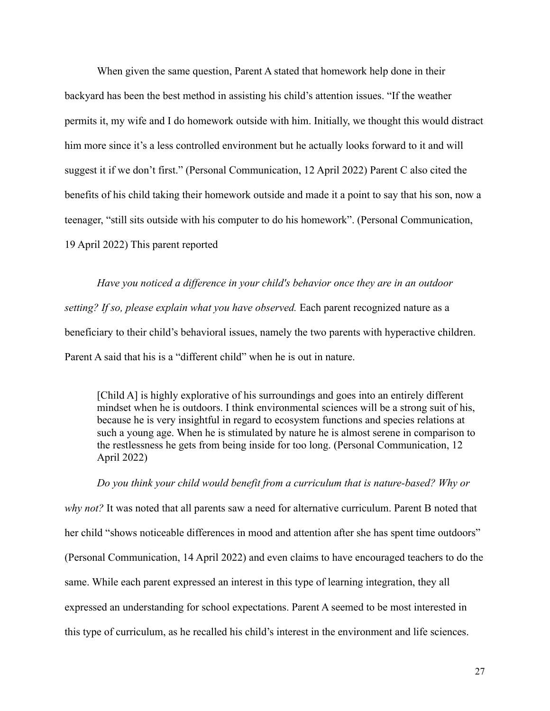When given the same question, Parent A stated that homework help done in their backyard has been the best method in assisting his child's attention issues. "If the weather permits it, my wife and I do homework outside with him. Initially, we thought this would distract him more since it's a less controlled environment but he actually looks forward to it and will suggest it if we don't first." (Personal Communication, 12 April 2022) Parent C also cited the benefits of his child taking their homework outside and made it a point to say that his son, now a teenager, "still sits outside with his computer to do his homework". (Personal Communication, 19 April 2022) This parent reported

*Have you noticed a difference in your child's behavior once they are in an outdoor setting? If so, please explain what you have observed.* Each parent recognized nature as a beneficiary to their child's behavioral issues, namely the two parents with hyperactive children. Parent A said that his is a "different child" when he is out in nature.

[Child A] is highly explorative of his surroundings and goes into an entirely different mindset when he is outdoors. I think environmental sciences will be a strong suit of his, because he is very insightful in regard to ecosystem functions and species relations at such a young age. When he is stimulated by nature he is almost serene in comparison to the restlessness he gets from being inside for too long. (Personal Communication, 12 April 2022)

*Do you think your child would benefit from a curriculum that is nature-based? Why or*

*why not?* It was noted that all parents saw a need for alternative curriculum. Parent B noted that her child "shows noticeable differences in mood and attention after she has spent time outdoors" (Personal Communication, 14 April 2022) and even claims to have encouraged teachers to do the same. While each parent expressed an interest in this type of learning integration, they all expressed an understanding for school expectations. Parent A seemed to be most interested in this type of curriculum, as he recalled his child's interest in the environment and life sciences.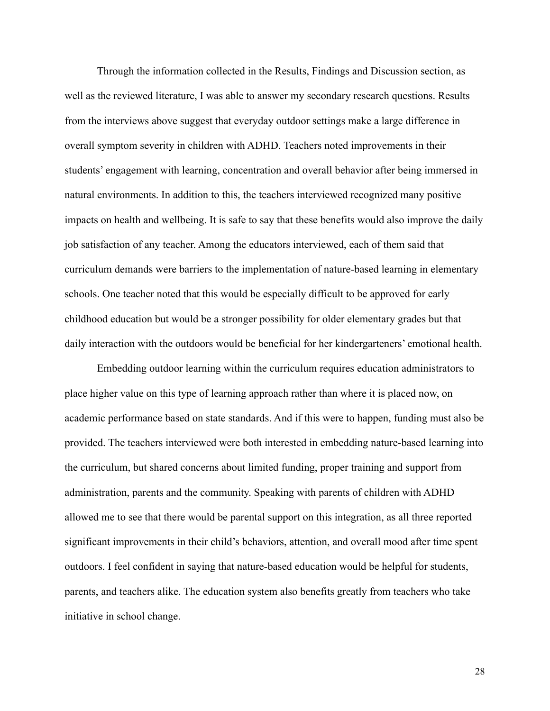Through the information collected in the Results, Findings and Discussion section, as well as the reviewed literature, I was able to answer my secondary research questions. Results from the interviews above suggest that everyday outdoor settings make a large difference in overall symptom severity in children with ADHD. Teachers noted improvements in their students' engagement with learning, concentration and overall behavior after being immersed in natural environments. In addition to this, the teachers interviewed recognized many positive impacts on health and wellbeing. It is safe to say that these benefits would also improve the daily job satisfaction of any teacher. Among the educators interviewed, each of them said that curriculum demands were barriers to the implementation of nature-based learning in elementary schools. One teacher noted that this would be especially difficult to be approved for early childhood education but would be a stronger possibility for older elementary grades but that daily interaction with the outdoors would be beneficial for her kindergarteners' emotional health.

Embedding outdoor learning within the curriculum requires education administrators to place higher value on this type of learning approach rather than where it is placed now, on academic performance based on state standards. And if this were to happen, funding must also be provided. The teachers interviewed were both interested in embedding nature-based learning into the curriculum, but shared concerns about limited funding, proper training and support from administration, parents and the community. Speaking with parents of children with ADHD allowed me to see that there would be parental support on this integration, as all three reported significant improvements in their child's behaviors, attention, and overall mood after time spent outdoors. I feel confident in saying that nature-based education would be helpful for students, parents, and teachers alike. The education system also benefits greatly from teachers who take initiative in school change.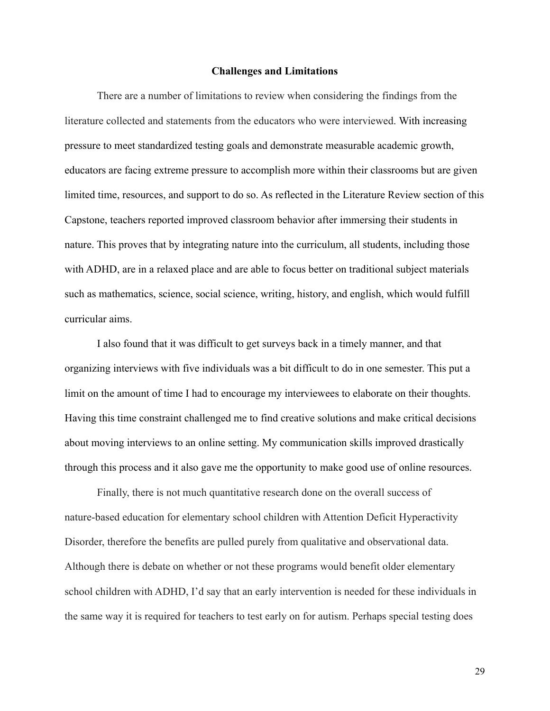#### **Challenges and Limitations**

There are a number of limitations to review when considering the findings from the literature collected and statements from the educators who were interviewed. With increasing pressure to meet standardized testing goals and demonstrate measurable academic growth, educators are facing extreme pressure to accomplish more within their classrooms but are given limited time, resources, and support to do so. As reflected in the Literature Review section of this Capstone, teachers reported improved classroom behavior after immersing their students in nature. This proves that by integrating nature into the curriculum, all students, including those with ADHD, are in a relaxed place and are able to focus better on traditional subject materials such as mathematics, science, social science, writing, history, and english, which would fulfill curricular aims.

I also found that it was difficult to get surveys back in a timely manner, and that organizing interviews with five individuals was a bit difficult to do in one semester. This put a limit on the amount of time I had to encourage my interviewees to elaborate on their thoughts. Having this time constraint challenged me to find creative solutions and make critical decisions about moving interviews to an online setting. My communication skills improved drastically through this process and it also gave me the opportunity to make good use of online resources.

Finally, there is not much quantitative research done on the overall success of nature-based education for elementary school children with Attention Deficit Hyperactivity Disorder, therefore the benefits are pulled purely from qualitative and observational data. Although there is debate on whether or not these programs would benefit older elementary school children with ADHD, I'd say that an early intervention is needed for these individuals in the same way it is required for teachers to test early on for autism. Perhaps special testing does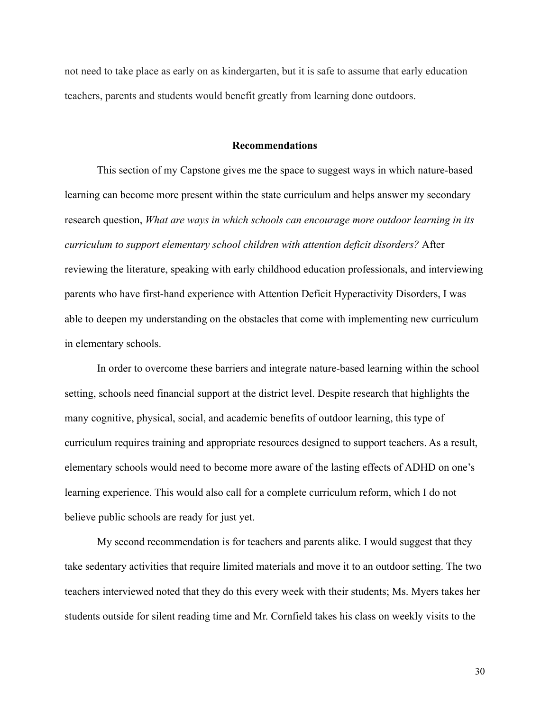not need to take place as early on as kindergarten, but it is safe to assume that early education teachers, parents and students would benefit greatly from learning done outdoors.

#### **Recommendations**

This section of my Capstone gives me the space to suggest ways in which nature-based learning can become more present within the state curriculum and helps answer my secondary research question, *What are ways in which schools can encourage more outdoor learning in its curriculum to support elementary school children with attention deficit disorders?* After reviewing the literature, speaking with early childhood education professionals, and interviewing parents who have first-hand experience with Attention Deficit Hyperactivity Disorders, I was able to deepen my understanding on the obstacles that come with implementing new curriculum in elementary schools.

In order to overcome these barriers and integrate nature-based learning within the school setting, schools need financial support at the district level. Despite research that highlights the many cognitive, physical, social, and academic benefits of outdoor learning, this type of curriculum requires training and appropriate resources designed to support teachers. As a result, elementary schools would need to become more aware of the lasting effects of ADHD on one's learning experience. This would also call for a complete curriculum reform, which I do not believe public schools are ready for just yet.

My second recommendation is for teachers and parents alike. I would suggest that they take sedentary activities that require limited materials and move it to an outdoor setting. The two teachers interviewed noted that they do this every week with their students; Ms. Myers takes her students outside for silent reading time and Mr. Cornfield takes his class on weekly visits to the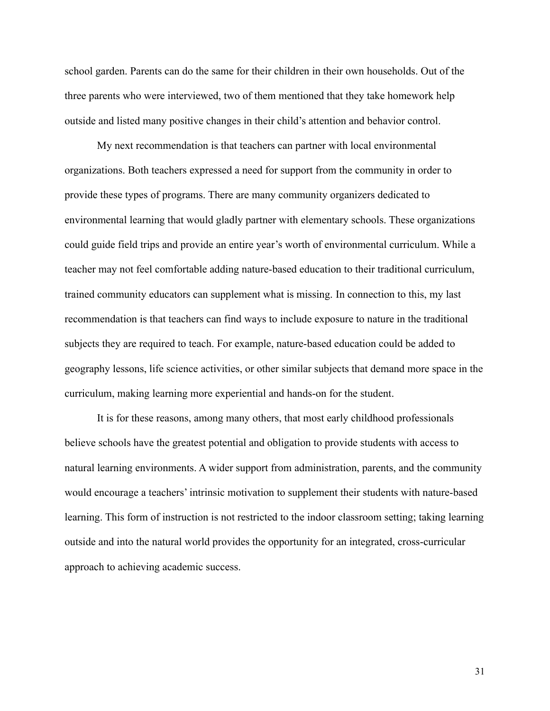school garden. Parents can do the same for their children in their own households. Out of the three parents who were interviewed, two of them mentioned that they take homework help outside and listed many positive changes in their child's attention and behavior control.

My next recommendation is that teachers can partner with local environmental organizations. Both teachers expressed a need for support from the community in order to provide these types of programs. There are many community organizers dedicated to environmental learning that would gladly partner with elementary schools. These organizations could guide field trips and provide an entire year's worth of environmental curriculum. While a teacher may not feel comfortable adding nature-based education to their traditional curriculum, trained community educators can supplement what is missing. In connection to this, my last recommendation is that teachers can find ways to include exposure to nature in the traditional subjects they are required to teach. For example, nature-based education could be added to geography lessons, life science activities, or other similar subjects that demand more space in the curriculum, making learning more experiential and hands-on for the student.

It is for these reasons, among many others, that most early childhood professionals believe schools have the greatest potential and obligation to provide students with access to natural learning environments. A wider support from administration, parents, and the community would encourage a teachers' intrinsic motivation to supplement their students with nature-based learning. This form of instruction is not restricted to the indoor classroom setting; taking learning outside and into the natural world provides the opportunity for an integrated, cross-curricular approach to achieving academic success.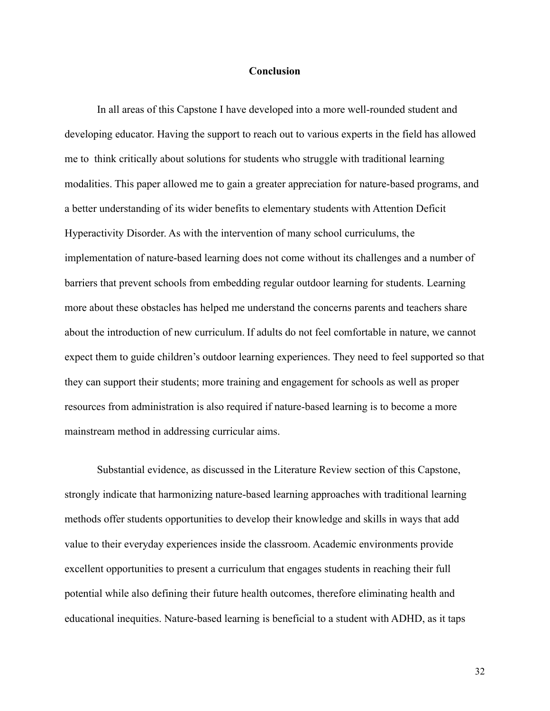## **Conclusion**

In all areas of this Capstone I have developed into a more well-rounded student and developing educator. Having the support to reach out to various experts in the field has allowed me to think critically about solutions for students who struggle with traditional learning modalities. This paper allowed me to gain a greater appreciation for nature-based programs, and a better understanding of its wider benefits to elementary students with Attention Deficit Hyperactivity Disorder. As with the intervention of many school curriculums, the implementation of nature-based learning does not come without its challenges and a number of barriers that prevent schools from embedding regular outdoor learning for students. Learning more about these obstacles has helped me understand the concerns parents and teachers share about the introduction of new curriculum. If adults do not feel comfortable in nature, we cannot expect them to guide children's outdoor learning experiences. They need to feel supported so that they can support their students; more training and engagement for schools as well as proper resources from administration is also required if nature-based learning is to become a more mainstream method in addressing curricular aims.

Substantial evidence, as discussed in the Literature Review section of this Capstone, strongly indicate that harmonizing nature-based learning approaches with traditional learning methods offer students opportunities to develop their knowledge and skills in ways that add value to their everyday experiences inside the classroom. Academic environments provide excellent opportunities to present a curriculum that engages students in reaching their full potential while also defining their future health outcomes, therefore eliminating health and educational inequities. Nature-based learning is beneficial to a student with ADHD, as it taps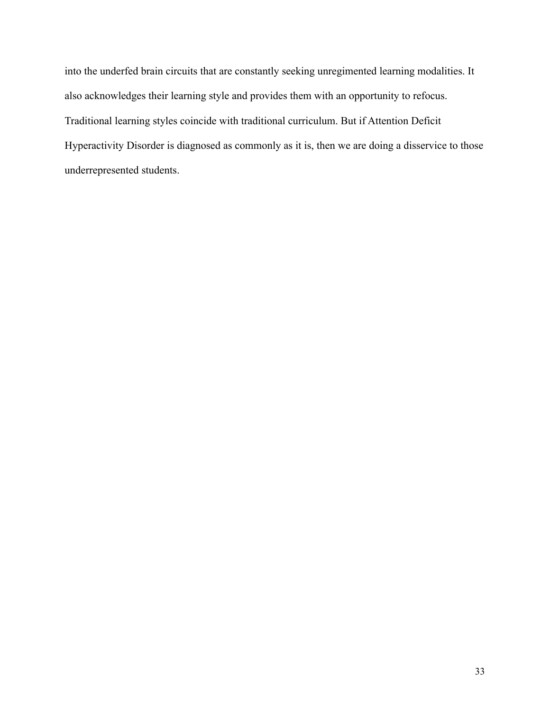into the underfed brain circuits that are constantly seeking unregimented learning modalities. It also acknowledges their learning style and provides them with an opportunity to refocus. Traditional learning styles coincide with traditional curriculum. But if Attention Deficit Hyperactivity Disorder is diagnosed as commonly as it is, then we are doing a disservice to those underrepresented students.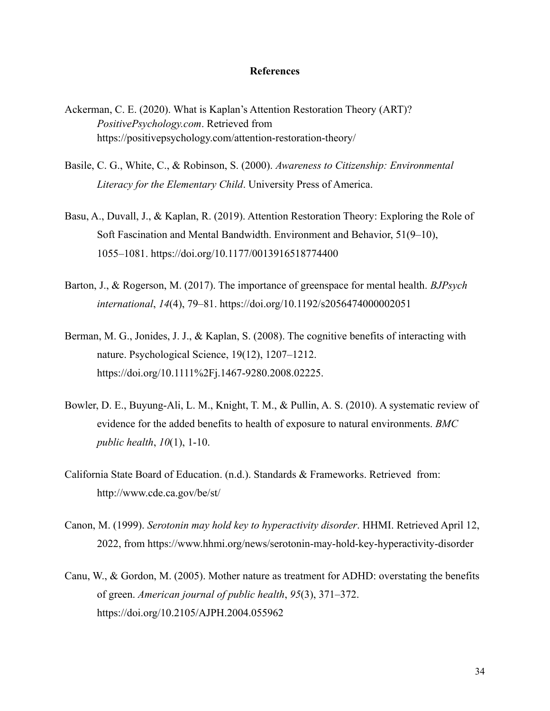## **References**

- Ackerman, C. E. (2020). What is Kaplan's Attention Restoration Theory (ART)? *PositivePsychology.com*. Retrieved from <https://positivepsychology.com/attention-restoration-theory/>
- Basile, C. G., White, C., & Robinson, S. (2000). *Awareness to Citizenship: Environmental Literacy for the Elementary Child*. University Press of America.
- Basu, A., Duvall, J., & Kaplan, R. (2019). Attention Restoration Theory: Exploring the Role of Soft Fascination and Mental Bandwidth. Environment and Behavior, 51(9–10), 1055–1081. https://doi.org/10.1177/0013916518774400
- Barton, J., & Rogerson, M. (2017). The importance of greenspace for mental health. *BJPsych international*, *14*(4), 79–81. https://doi.org/10.1192/s2056474000002051
- Berman, M. G., Jonides, J. J., & Kaplan, S. (2008). The cognitive benefits of interacting with nature. Psychological Science, 19(12), 1207–1212. https://doi.org/10.1111%2Fj.1467-9280.2008.02225.
- Bowler, D. E., Buyung-Ali, L. M., Knight, T. M., & Pullin, A. S. (2010). A systematic review of evidence for the added benefits to health of exposure to natural environments. *BMC public health*, *10*(1), 1-10.
- California State Board of Education. (n.d.). Standards & Frameworks. Retrieved from: http://www.cde.ca.gov/be/st/
- Canon, M. (1999). *Serotonin may hold key to hyperactivity disorder*. HHMI. Retrieved April 12, 2022, from https://www.hhmi.org/news/serotonin-may-hold-key-hyperactivity-disorder
- Canu, W., & Gordon, M. (2005). Mother nature as treatment for ADHD: overstating the benefits of green. *American journal of public health*, *95*(3), 371–372. https://doi.org/10.2105/AJPH.2004.055962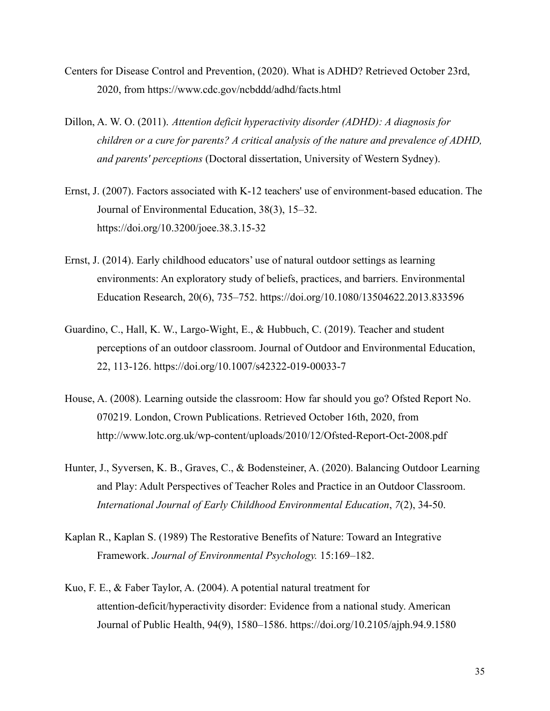- Centers for Disease Control and Prevention, (2020). What is ADHD? Retrieved October 23rd, 2020, from https://www.cdc.gov/ncbddd/adhd/facts.html
- Dillon, A. W. O. (2011). *Attention deficit hyperactivity disorder (ADHD): A diagnosis for children or a cure for parents? A critical analysis of the nature and prevalence of ADHD, and parents' perceptions* (Doctoral dissertation, University of Western Sydney).
- Ernst, J. (2007). Factors associated with K-12 teachers' use of environment-based education. The Journal of Environmental Education, 38(3), 15–32. https://doi.org/10.3200/joee.38.3.15-32
- Ernst, J. (2014). Early childhood educators' use of natural outdoor settings as learning environments: An exploratory study of beliefs, practices, and barriers. Environmental Education Research, 20(6), 735–752. https://doi.org/10.1080/13504622.2013.833596
- Guardino, C., Hall, K. W., Largo-Wight, E., & Hubbuch, C. (2019). Teacher and student perceptions of an outdoor classroom. Journal of Outdoor and Environmental Education, 22, 113-126. https://doi.org/10.1007/s42322-019-00033-7
- House, A. (2008). Learning outside the classroom: How far should you go? Ofsted Report No. 070219. London, Crown Publications. Retrieved October 16th, 2020, from http://www.lotc.org.uk/wp-content/uploads/2010/12/Ofsted-Report-Oct-2008.pdf
- Hunter, J., Syversen, K. B., Graves, C., & Bodensteiner, A. (2020). Balancing Outdoor Learning and Play: Adult Perspectives of Teacher Roles and Practice in an Outdoor Classroom. *International Journal of Early Childhood Environmental Education*, *7*(2), 34-50.
- Kaplan R., Kaplan S. (1989) The Restorative Benefits of Nature: Toward an Integrative Framework. *Journal of Environmental Psychology.* 15:169–182.
- Kuo, F. E., & Faber Taylor, A. (2004). A potential natural treatment for attention-deficit/hyperactivity disorder: Evidence from a national study. American Journal of Public Health, 94(9), 1580–1586. https://doi.org/10.2105/ajph.94.9.1580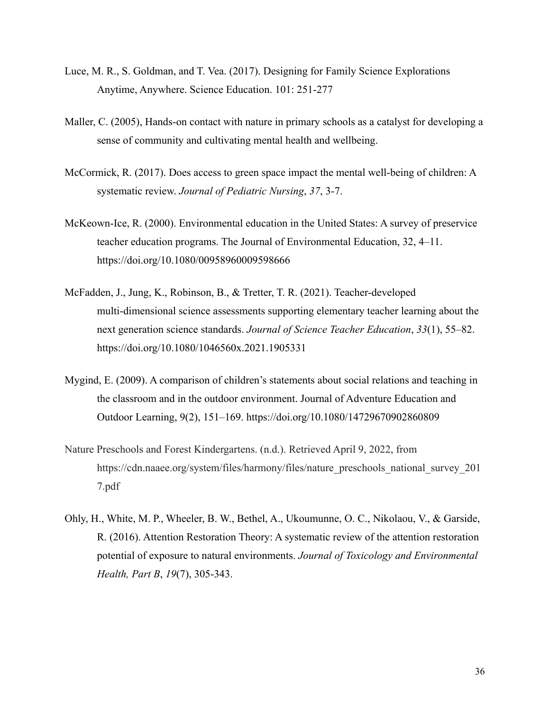- Luce, M. R., S. Goldman, and T. Vea. (2017). Designing for Family Science Explorations Anytime, Anywhere. Science Education. 101: 251-277
- Maller, C. (2005), Hands-on contact with nature in primary schools as a catalyst for developing a sense of community and cultivating mental health and wellbeing.
- McCormick, R. (2017). Does access to green space impact the mental well-being of children: A systematic review. *Journal of Pediatric Nursing*, *37*, 3-7.
- McKeown-Ice, R. (2000). Environmental education in the United States: A survey of preservice teacher education programs. The Journal of Environmental Education, 32, 4–11. https://doi.org/10.1080/00958960009598666
- McFadden, J., Jung, K., Robinson, B., & Tretter, T. R. (2021). Teacher-developed multi-dimensional science assessments supporting elementary teacher learning about the next generation science standards. *Journal of Science Teacher Education*, *33*(1), 55–82. https://doi.org/10.1080/1046560x.2021.1905331
- Mygind, E. (2009). A comparison of children's statements about social relations and teaching in the classroom and in the outdoor environment. Journal of Adventure Education and Outdoor Learning, 9(2), 151–169. https://doi.org/10.1080/14729670902860809
- Nature Preschools and Forest Kindergartens. (n.d.). Retrieved April 9, 2022, from https://cdn.naaee.org/system/files/harmony/files/nature\_preschools\_national\_survey\_201 7.pdf
- Ohly, H., White, M. P., Wheeler, B. W., Bethel, A., Ukoumunne, O. C., Nikolaou, V., & Garside, R. (2016). Attention Restoration Theory: A systematic review of the attention restoration potential of exposure to natural environments. *Journal of Toxicology and Environmental Health, Part B*, *19*(7), 305-343.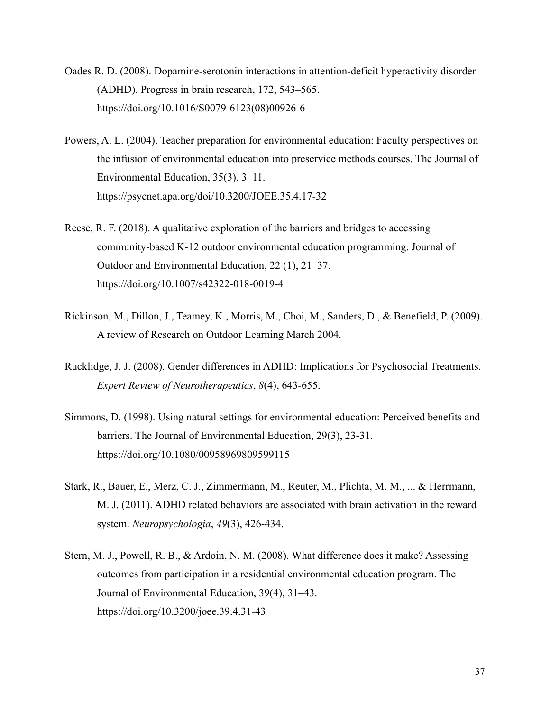- Oades R. D. (2008). Dopamine-serotonin interactions in attention-deficit hyperactivity disorder (ADHD). Progress in brain research, 172, 543–565. https://doi.org/10.1016/S0079-6123(08)00926-6
- Powers, A. L. (2004). Teacher preparation for environmental education: Faculty perspectives on the infusion of environmental education into preservice methods courses. The Journal of Environmental Education, 35(3), 3–11. https://psycnet.apa.org/doi/10.3200/JOEE.35.4.17-32
- Reese, R. F. (2018). A qualitative exploration of the barriers and bridges to accessing community-based K-12 outdoor environmental education programming. Journal of Outdoor and Environmental Education, 22 (1), 21–37. https://doi.org/10.1007/s42322-018-0019-4
- Rickinson, M., Dillon, J., Teamey, K., Morris, M., Choi, M., Sanders, D., & Benefield, P. (2009). A review of Research on Outdoor Learning March 2004.
- Rucklidge, J. J. (2008). Gender differences in ADHD: Implications for Psychosocial Treatments. *Expert Review of Neurotherapeutics*, *8*(4), 643-655.
- Simmons, D. (1998). Using natural settings for environmental education: Perceived benefits and barriers. The Journal of Environmental Education, 29(3), 23-31. https://doi.org/10.1080/00958969809599115
- Stark, R., Bauer, E., Merz, C. J., Zimmermann, M., Reuter, M., Plichta, M. M., ... & Herrmann, M. J. (2011). ADHD related behaviors are associated with brain activation in the reward system. *Neuropsychologia*, *49*(3), 426-434.
- Stern, M. J., Powell, R. B., & Ardoin, N. M. (2008). What difference does it make? Assessing outcomes from participation in a residential environmental education program. The Journal of Environmental Education, 39(4), 31–43. https://doi.org/10.3200/joee.39.4.31-43